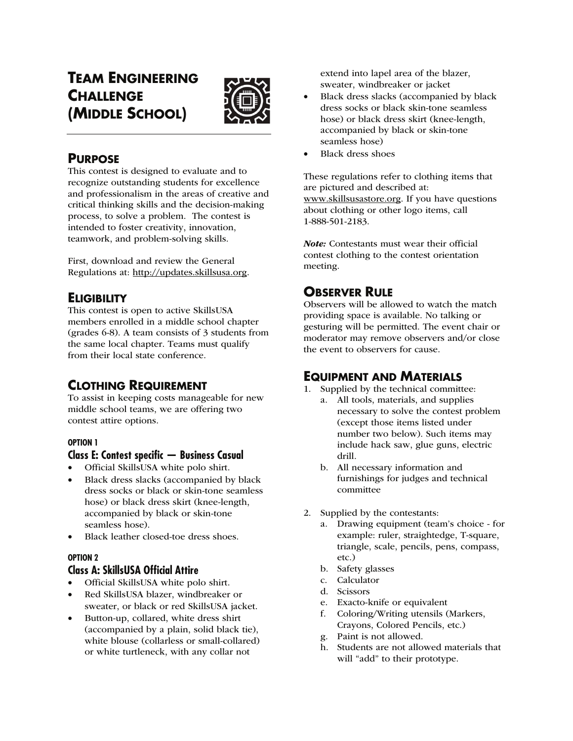# **TEAM ENGINEERING CHALLENGE (MIDDLE SCHOOL)**



## **PURPOSE**

This contest is designed to evaluate and to recognize outstanding students for excellence and professionalism in the areas of creative and critical thinking skills and the decision-making process, to solve a problem. The contest is intended to foster creativity, innovation, teamwork, and problem-solving skills.

First, download and review the General Regulations at: http://updates.skillsusa.org.

# **ELIGIBILITY**

This contest is open to active SkillsUSA members enrolled in a middle school chapter (grades 6-8). A team consists of 3 students from the same local chapter. Teams must qualify from their local state conference.

# **CLOTHING REQUIREMENT**

To assist in keeping costs manageable for new middle school teams, we are offering two contest attire options.

### **OPTION 1**

## **Class E: Contest specific — Business Casual**

- Official SkillsUSA white polo shirt.
- Black dress slacks (accompanied by black dress socks or black or skin-tone seamless hose) or black dress skirt (knee-length, accompanied by black or skin-tone seamless hose).
- Black leather closed-toe dress shoes.

## **OPTION 2**

## **Class A: SkillsUSA Official Attire**

- Official SkillsUSA white polo shirt.
- Red SkillsUSA blazer, windbreaker or sweater, or black or red SkillsUSA jacket.
- Button-up, collared, white dress shirt (accompanied by a plain, solid black tie), white blouse (collarless or small-collared) or white turtleneck, with any collar not

extend into lapel area of the blazer, sweater, windbreaker or jacket

- Black dress slacks (accompanied by black dress socks or black skin-tone seamless hose) or black dress skirt (knee-length, accompanied by black or skin-tone seamless hose)
- Black dress shoes

These regulations refer to clothing items that are pictured and described at: www.skillsusastore.org. If you have questions about clothing or other logo items, call 1-888-501-2183.

Note: Contestants must wear their official contest clothing to the contest orientation meeting.

# **OBSERVER RULE**

Observers will be allowed to watch the match providing space is available. No talking or gesturing will be permitted. The event chair or moderator may remove observers and/or close the event to observers for cause.

## **EQUIPMENT AND MATERIALS**

- 1. Supplied by the technical committee:
	- a. All tools, materials, and supplies necessary to solve the contest problem (except those items listed under number two below). Such items may include hack saw, glue guns, electric drill.
	- b. All necessary information and furnishings for judges and technical committee
- 2. Supplied by the contestants:
	- a. Drawing equipment (team's choice for example: ruler, straightedge, T-square, triangle, scale, pencils, pens, compass, etc.)
	- b. Safety glasses
	- c. Calculator
	- d. Scissors
	- e. Exacto-knife or equivalent
	- f. Coloring/Writing utensils (Markers, Crayons, Colored Pencils, etc.)
	- g. Paint is not allowed.
	- h. Students are not allowed materials that will "add" to their prototype.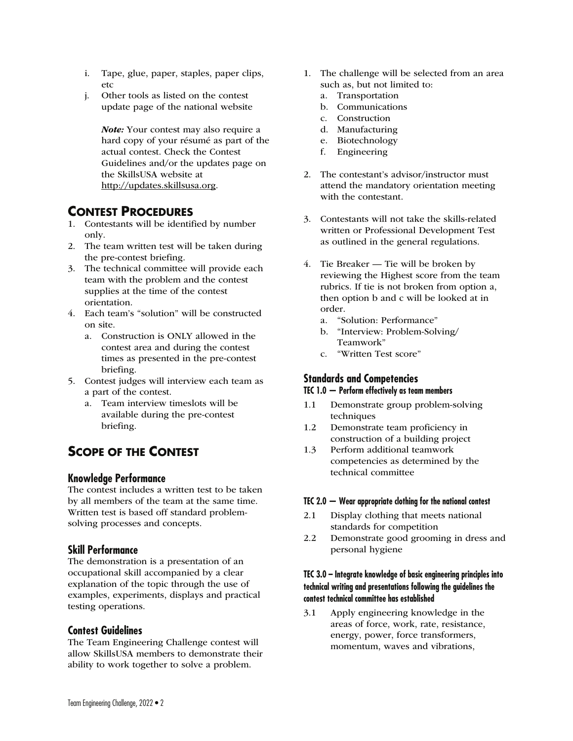- i. Tape, glue, paper, staples, paper clips, etc
- j. Other tools as listed on the contest update page of the national website

 Note: Your contest may also require a hard copy of your résumé as part of the actual contest. Check the Contest Guidelines and/or the updates page on the SkillsUSA website at http://updates.skillsusa.org.

# **CONTEST PROCEDURES**

- 1. Contestants will be identified by number only.
- 2. The team written test will be taken during the pre-contest briefing.
- 3. The technical committee will provide each team with the problem and the contest supplies at the time of the contest orientation.
- 4. Each team's "solution" will be constructed on site.
	- a. Construction is ONLY allowed in the contest area and during the contest times as presented in the pre-contest briefing.
- 5. Contest judges will interview each team as a part of the contest.
	- a. Team interview timeslots will be available during the pre-contest briefing.

# **SCOPE OF THE CONTEST**

### **Knowledge Performance**

The contest includes a written test to be taken by all members of the team at the same time. Written test is based off standard problemsolving processes and concepts.

## **Skill Performance**

The demonstration is a presentation of an occupational skill accompanied by a clear explanation of the topic through the use of examples, experiments, displays and practical testing operations.

### **Contest Guidelines**

The Team Engineering Challenge contest will allow SkillsUSA members to demonstrate their ability to work together to solve a problem.

- 1. The challenge will be selected from an area such as, but not limited to:
	- a. Transportation
	- b. Communications
	- c. Construction
	- d. Manufacturing
	- e. Biotechnology
	- f. Engineering
- 2. The contestant's advisor/instructor must attend the mandatory orientation meeting with the contestant.
- 3. Contestants will not take the skills-related written or Professional Development Test as outlined in the general regulations.
- 4. Tie Breaker Tie will be broken by reviewing the Highest score from the team rubrics. If tie is not broken from option a, then option b and c will be looked at in order.
	- a. "Solution: Performance"
	- b. "Interview: Problem-Solving/ Teamwork"
	- c. "Written Test score"

## **Standards and Competencies**

### **TEC 1.0 — Perform effectively as team members**

- 1.1 Demonstrate group problem-solving techniques
- 1.2 Demonstrate team proficiency in construction of a building project
- 1.3 Perform additional teamwork competencies as determined by the technical committee

### **TEC 2.0 — Wear appropriate clothing for the national contest**

- 2.1 Display clothing that meets national standards for competition
- 2.2 Demonstrate good grooming in dress and personal hygiene

### **TEC 3.0 – Integrate knowledge of basic engineering principles into technical writing and presentations following the guidelines the contest technical committee has established**

3.1 Apply engineering knowledge in the areas of force, work, rate, resistance, energy, power, force transformers, momentum, waves and vibrations,